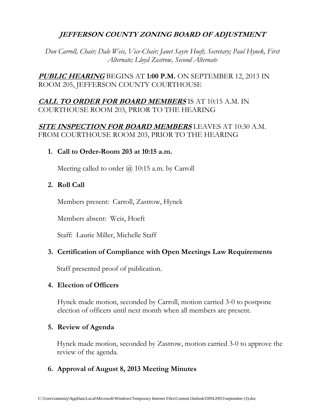# **JEFFERSON COUNTY ZONING BOARD OF ADJUSTMENT**

*Don Carroll, Chair; Dale Weis, Vice-Chair; Janet Sayre Hoeft, Secretary; Paul Hynek, First Alternate; Lloyd Zastrow, Second Alternate*

**PUBLIC HEARING** BEGINS AT **1:00 P.M.** ON SEPTEMBER 12, 2013 IN ROOM 205, JEFFERSON COUNTY COURTHOUSE

# **CALL TO ORDER FOR BOARD MEMBERS** IS AT 10:15 A.M. IN COURTHOUSE ROOM 203, PRIOR TO THE HEARING

## **SITE INSPECTION FOR BOARD MEMBERS** LEAVES AT 10:30 A.M. FROM COURTHOUSE ROOM 203, PRIOR TO THE HEARING

## **1. Call to Order-Room 203 at 10:15 a.m.**

Meeting called to order  $\omega$  10:15 a.m. by Carroll

## **2. Roll Call**

Members present: Carroll, Zastrow, Hynek

Members absent: Weis, Hoeft

Staff: Laurie Miller, Michelle Staff

## **3. Certification of Compliance with Open Meetings Law Requirements**

Staff presented proof of publication.

## **4. Election of Officers**

Hynek made motion, seconded by Carroll, motion carried 3-0 to postpone election of officers until next month when all members are present.

## **5. Review of Agenda**

Hynek made motion, seconded by Zastrow, motion carried 3-0 to approve the review of the agenda.

## **6. Approval of August 8, 2013 Meeting Minutes**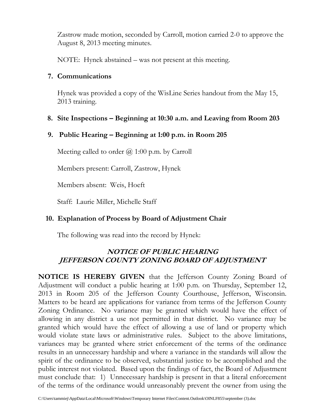Zastrow made motion, seconded by Carroll, motion carried 2-0 to approve the August 8, 2013 meeting minutes.

NOTE: Hynek abstained – was not present at this meeting.

## **7. Communications**

Hynek was provided a copy of the WisLine Series handout from the May 15, 2013 training.

## **8. Site Inspections – Beginning at 10:30 a.m. and Leaving from Room 203**

# **9. Public Hearing – Beginning at 1:00 p.m. in Room 205**

Meeting called to order  $\omega$  1:00 p.m. by Carroll

Members present: Carroll, Zastrow, Hynek

Members absent: Weis, Hoeft

Staff: Laurie Miller, Michelle Staff

## **10. Explanation of Process by Board of Adjustment Chair**

The following was read into the record by Hynek:

# **NOTICE OF PUBLIC HEARING JEFFERSON COUNTY ZONING BOARD OF ADJUSTMENT**

**NOTICE IS HEREBY GIVEN** that the Jefferson County Zoning Board of Adjustment will conduct a public hearing at 1:00 p.m. on Thursday, September 12, 2013 in Room 205 of the Jefferson County Courthouse, Jefferson, Wisconsin. Matters to be heard are applications for variance from terms of the Jefferson County Zoning Ordinance. No variance may be granted which would have the effect of allowing in any district a use not permitted in that district. No variance may be granted which would have the effect of allowing a use of land or property which would violate state laws or administrative rules. Subject to the above limitations, variances may be granted where strict enforcement of the terms of the ordinance results in an unnecessary hardship and where a variance in the standards will allow the spirit of the ordinance to be observed, substantial justice to be accomplished and the public interest not violated. Based upon the findings of fact, the Board of Adjustment must conclude that: 1) Unnecessary hardship is present in that a literal enforcement of the terms of the ordinance would unreasonably prevent the owner from using the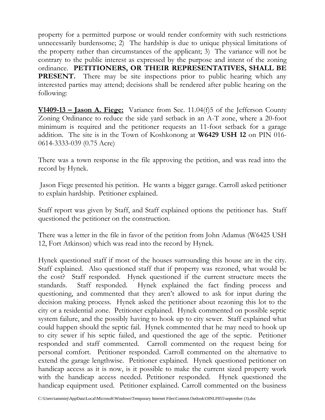property for a permitted purpose or would render conformity with such restrictions unnecessarily burdensome; 2) The hardship is due to unique physical limitations of the property rather than circumstances of the applicant; 3) The variance will not be contrary to the public interest as expressed by the purpose and intent of the zoning ordinance. **PETITIONERS, OR THEIR REPRESENTATIVES, SHALL BE PRESENT.** There may be site inspections prior to public hearing which any interested parties may attend; decisions shall be rendered after public hearing on the following:

**V1409-13 – Jason A. Fiege:** Variance from Sec. 11.04(f)5 of the Jefferson County Zoning Ordinance to reduce the side yard setback in an A-T zone, where a 20-foot minimum is required and the petitioner requests an 11-foot setback for a garage addition. The site is in the Town of Koshkonong at **W6429 USH 12** on PIN 016- 0614-3333-039 (0.75 Acre)

There was a town response in the file approving the petition, and was read into the record by Hynek.

Jason Fiege presented his petition. He wants a bigger garage. Carroll asked petitioner to explain hardship. Petitioner explained.

Staff report was given by Staff, and Staff explained options the petitioner has. Staff questioned the petitioner on the construction.

There was a letter in the file in favor of the petition from John Adamus (W6425 USH 12, Fort Atkinson) which was read into the record by Hynek.

Hynek questioned staff if most of the houses surrounding this house are in the city. Staff explained. Also questioned staff that if property was rezoned, what would be the cost? Staff responded. Hynek questioned if the current structure meets the standards. Staff responded. Hynek explained the fact finding process and questioning, and commented that they aren't allowed to ask for input during the decision making process. Hynek asked the petitioner about rezoning this lot to the city or a residential zone. Petitioner explained. Hynek commented on possible septic system failure, and the possibly having to hook up to city sewer. Staff explained what could happen should the septic fail. Hynek commented that he may need to hook up to city sewer if his septic failed, and questioned the age of the septic. Petitioner responded and staff commented. Carroll commented on the request being for personal comfort. Petitioner responded. Carroll commented on the alternative to extend the garage lengthwise. Petitioner explained. Hynek questioned petitioner on handicap access as it is now, is it possible to make the current sized property work with the handicap access needed. Petitioner responded. Hynek questioned the handicap equipment used. Petitioner explained. Carroll commented on the business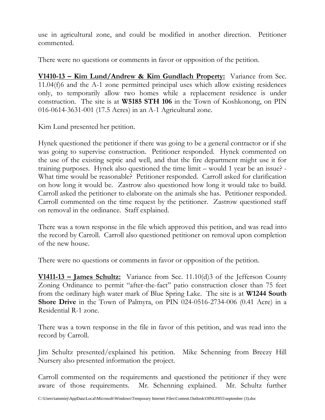use in agricultural zone, and could be modified in another direction. Petitioner commented.

There were no questions or comments in favor or opposition of the petition.

**V1410-13 – Kim Lund/Andrew & Kim Gundlach Property:** Variance from Sec. 11.04(f)6 and the A-1 zone permitted principal uses which allow existing residences only, to temporarily allow two homes while a replacement residence is under construction. The site is at **W5185 STH 106** in the Town of Koshkonong, on PIN 016-0614-3631-001 (17.5 Acres) in an A-1 Agricultural zone.

Kim Lund presented her petition.

Hynek questioned the petitioner if there was going to be a general contractor or if she was going to supervise construction. Petitioner responded. Hynek commented on the use of the existing septic and well, and that the fire department might use it for training purposes. Hynek also questioned the time limit – would 1 year be an issue? - What time would be reasonable? Petitioner responded. Carroll asked for clarification on how long it would be. Zastrow also questioned how long it would take to build. Carroll asked the petitioner to elaborate on the animals she has. Petitioner responded. Carroll commented on the time request by the petitioner. Zastrow questioned staff on removal in the ordinance. Staff explained.

There was a town response in the file which approved this petition, and was read into the record by Carroll. Carroll also questioned petitioner on removal upon completion of the new house.

There were no questions or comments in favor or opposition of the petition.

**V1411-13 – James Schultz:** Variance from Sec. 11.10(d)3 of the Jefferson County Zoning Ordinance to permit "after-the-fact" patio construction closer than 75 feet from the ordinary high water mark of Blue Spring Lake. The site is at **W1244 South Shore Drive** in the Town of Palmyra, on PIN 024-0516-2734-006 (0.41 Acre) in a Residential R-1 zone.

There was a town response in the file in favor of this petition, and was read into the record by Carroll.

Jim Schultz presented/explained his petition. Mike Schenning from Breezy Hill Nursery also presented information the project.

Carroll commented on the requirements and questioned the petitioner if they were aware of those requirements. Mr. Schenning explained. Mr. Schultz further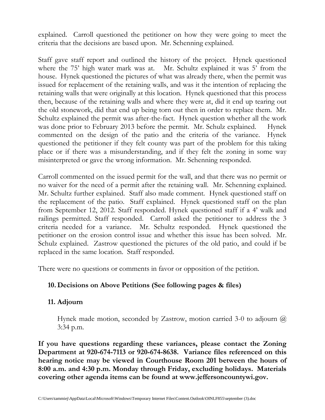explained. Carroll questioned the petitioner on how they were going to meet the criteria that the decisions are based upon. Mr. Schenning explained.

Staff gave staff report and outlined the history of the project. Hynek questioned where the 75' high water mark was at. Mr. Schultz explained it was 5' from the house. Hynek questioned the pictures of what was already there, when the permit was issued for replacement of the retaining walls, and was it the intention of replacing the retaining walls that were originally at this location. Hynek questioned that this process then, because of the retaining walls and where they were at, did it end up tearing out the old stonework, did that end up being torn out then in order to replace them. Mr. Schultz explained the permit was after-the-fact. Hynek question whether all the work was done prior to February 2013 before the permit. Mr. Schulz explained. Hynek commented on the design of the patio and the criteria of the variance. Hynek questioned the petitioner if they felt county was part of the problem for this taking place or if there was a misunderstanding, and if they felt the zoning in some way misinterpreted or gave the wrong information. Mr. Schenning responded.

Carroll commented on the issued permit for the wall, and that there was no permit or no waiver for the need of a permit after the retaining wall. Mr. Schenning explained. Mr. Schultz further explained. Staff also made comment. Hynek questioned staff on the replacement of the patio. Staff explained. Hynek questioned staff on the plan from September 12, 2012. Staff responded. Hynek questioned staff if a 4' walk and railings permitted. Staff responded. Carroll asked the petitioner to address the 3 criteria needed for a variance. Mr. Schultz responded. Hynek questioned the petitioner on the erosion control issue and whether this issue has been solved. Mr. Schulz explained. Zastrow questioned the pictures of the old patio, and could if be replaced in the same location. Staff responded.

There were no questions or comments in favor or opposition of the petition.

# **10. Decisions on Above Petitions (See following pages & files)**

# **11. Adjourn**

Hynek made motion, seconded by Zastrow, motion carried 3-0 to adjourn  $\omega$ 3:34 p.m.

**If you have questions regarding these variances, please contact the Zoning Department at 920-674-7113 or 920-674-8638. Variance files referenced on this hearing notice may be viewed in Courthouse Room 201 between the hours of 8:00 a.m. and 4:30 p.m. Monday through Friday, excluding holidays. Materials covering other agenda items can be found at www.jeffersoncountywi.gov.**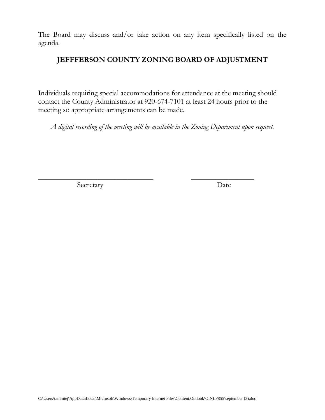The Board may discuss and/or take action on any item specifically listed on the agenda.

## **JEFFFERSON COUNTY ZONING BOARD OF ADJUSTMENT**

Individuals requiring special accommodations for attendance at the meeting should contact the County Administrator at 920-674-7101 at least 24 hours prior to the meeting so appropriate arrangements can be made.

*A digital recording of the meeting will be available in the Zoning Department upon request.*

\_\_\_\_\_\_\_\_\_\_\_\_\_\_\_\_\_\_\_\_\_\_\_\_\_\_\_\_\_\_\_ \_\_\_\_\_\_\_\_\_\_\_\_\_\_\_\_\_

Secretary Date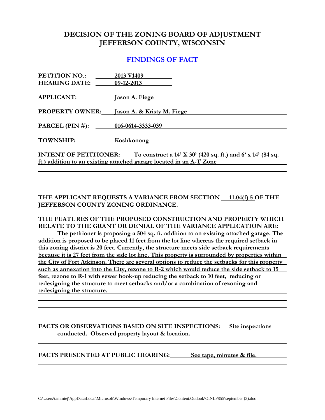## **DECISION OF THE ZONING BOARD OF ADJUSTMENT JEFFERSON COUNTY, WISCONSIN**

## **FINDINGS OF FACT**

| <b>PETITION NO.:</b>                                                                           | 2013 V1409                 |  |
|------------------------------------------------------------------------------------------------|----------------------------|--|
| <b>HEARING DATE:</b> 09-12-2013                                                                |                            |  |
|                                                                                                |                            |  |
| <b>APPLICANT:__________</b>                                                                    | Jason A. Fiege             |  |
| <b>PROPERTY OWNER:</b>                                                                         | Jason A. & Kristy M. Fiege |  |
|                                                                                                |                            |  |
| PARCEL (PIN #): 016-0614-3333-039                                                              |                            |  |
| TOWNSHIP: Koshkonong                                                                           |                            |  |
|                                                                                                |                            |  |
| <b>INTENT OF PETITIONER:</b> To construct a $14'$ X $30'$ (420 sq. ft.) and 6' x $14'$ (84 sq. |                            |  |
| ft.) addition to an existing attached garage located in an A-T Zone                            |                            |  |
|                                                                                                |                            |  |

**THE APPLICANT REQUESTS A VARIANCE FROM SECTION 11.04(f) 5 OF THE JEFFERSON COUNTY ZONING ORDINANCE.**

### **THE FEATURES OF THE PROPOSED CONSTRUCTION AND PROPERTY WHICH RELATE TO THE GRANT OR DENIAL OF THE VARIANCE APPLICATION ARE:**

**The petitioner is proposing a 504 sq. ft. addition to an existing attached garage. The addition is proposed to be placed 11 feet from the lot line whereas the required setback in this zoning district is 20 feet. Currently, the structure meets side setback requirements because it is 27 feet from the side lot line. This property is surrounded by properties within the City of Fort Atkinson. There are several options to reduce the setbacks for this property such as annexation into the City, rezone to R-2 which would reduce the side setback to 15 feet, rezone to R-1 with sewer hook-up reducing the setback to 10 feet, reducing or redesigning the structure to meet setbacks and/or a combination of rezoning and redesigning the structure.** 

**FACTS OR OBSERVATIONS BASED ON SITE INSPECTIONS: Site inspections conducted. Observed property layout & location.**

**FACTS PRESENTED AT PUBLIC HEARING: See tape, minutes & file.**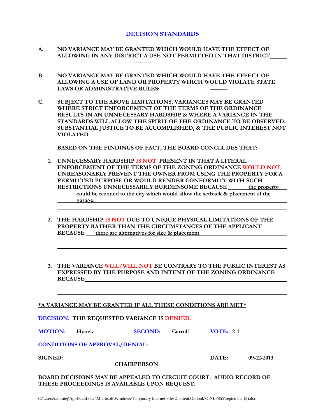### **DECISION STANDARDS**

- **A. NO VARIANCE MAY BE GRANTED WHICH WOULD HAVE THE EFFECT OF ALLOWING IN ANY DISTRICT A USE NOT PERMITTED IN THAT DISTRICT ---------**
- **B. NO VARIANCE MAY BE GRANTED WHICH WOULD HAVE THE EFFECT OF ALLOWING A USE OF LAND OR PROPERTY WHICH WOULD VIOLATE STATE LAWS OR ADMINISTRATIVE RULES: ---------**
- **C. SUBJECT TO THE ABOVE LIMITATIONS, VARIANCES MAY BE GRANTED WHERE STRICT ENFORCEMENT OF THE TERMS OF THE ORDINANCE RESULTS IN AN UNNECESSARY HARDSHIP & WHERE A VARIANCE IN THE STANDARDS WILL ALLOW THE SPIRIT OF THE ORDINANCE TO BE OBSERVED, SUBSTANTIAL JUSTICE TO BE ACCOMPLISHED, & THE PUBLIC INTEREST NOT VIOLATED.**

**BASED ON THE FINDINGS OF FACT, THE BOARD CONCLUDES THAT:**

- **1. UNNECESSARY HARDSHIP IS NOT PRESENT IN THAT A LITERAL ENFORCEMENT OF THE TERMS OF THE ZONING ORDINANCE WOULD NOT UNREASONABLY PREVENT THE OWNER FROM USING THE PROPERTY FOR A PERMITTED PURPOSE OR WOULD RENDER CONFORMITY WITH SUCH RESTRICTIONS UNNECESSARILY BURDENSOME BECAUSE \_\_\_\_\_\_ the property \_\_\_ could be rezoned to the city which would allow the setback & placement of the garage.**
- **2. THE HARDSHIP IS NOT DUE TO UNIQUE PHYSICAL LIMITATIONS OF THE PROPERTY RATHER THAN THE CIRCUMSTANCES OF THE APPLICANT BECAUSE** there are alternatives for size & placement
- **3. THE VARIANCE WILL/WILL NOT BE CONTRARY TO THE PUBLIC INTEREST AS EXPRESSED BY THE PURPOSE AND INTENT OF THE ZONING ORDINANCE BECAUSE**

#### **\*A VARIANCE MAY BE GRANTED IF ALL THESE CONDITIONS ARE MET\***

**DECISION: THE REQUESTED VARIANCE IS DENIED.**

**MOTION: Hynek SECOND: Carroll VOTE: 2-1**

**CONDITIONS OF APPROVAL/DENIAL:**

**SIGNED: DATE: 09-12-2013**

**CHAIRPERSON**

**BOARD DECISIONS MAY BE APPEALED TO CIRCUIT COURT. AUDIO RECORD OF THESE PROCEEDINGS IS AVAILABLE UPON REQUEST.**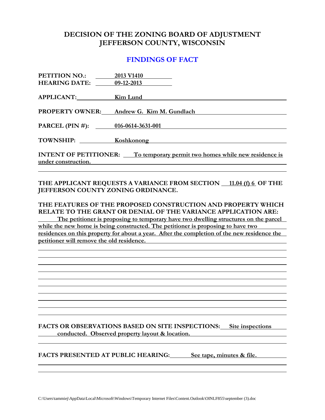## **DECISION OF THE ZONING BOARD OF ADJUSTMENT JEFFERSON COUNTY, WISCONSIN**

## **FINDINGS OF FACT**

| <b>PETITION NO.:</b><br><b>HEARING DATE:</b>                                                             | 2013 V1410<br>09-12-2013                                                           |  |
|----------------------------------------------------------------------------------------------------------|------------------------------------------------------------------------------------|--|
| APPLICANT:                                                                                               | Kim Lund                                                                           |  |
| <b>PROPERTY OWNER:</b>                                                                                   | Andrew G. Kim M. Gundlach                                                          |  |
| PARCEL (PIN #): $016-0614-3631-001$                                                                      |                                                                                    |  |
| TOWNSHIP:                                                                                                | <b>Koshkonong</b><br><u> 1989 - Johann Stein, mars an deutscher Stein († 1989)</u> |  |
| <b>INTENT OF PETITIONER:</b> To temporary permit two homes while new residence is<br>under construction. |                                                                                    |  |

### THE APPLICANT REQUESTS A VARIANCE FROM SECTION 11.04 (f) 6 OF THE **JEFFERSON COUNTY ZONING ORDINANCE.**

### **THE FEATURES OF THE PROPOSED CONSTRUCTION AND PROPERTY WHICH RELATE TO THE GRANT OR DENIAL OF THE VARIANCE APPLICATION ARE:**

**The petitioner is proposing to temporary have two dwelling structures on the parcel while the new home is being constructed. The petitioner is proposing to have two residences on this property for about a year. After the completion of the new residence the petitioner will remove the old residence.** 

**FACTS OR OBSERVATIONS BASED ON SITE INSPECTIONS: Site inspections conducted. Observed property layout & location.**

**FACTS PRESENTED AT PUBLIC HEARING: See tape, minutes & file.**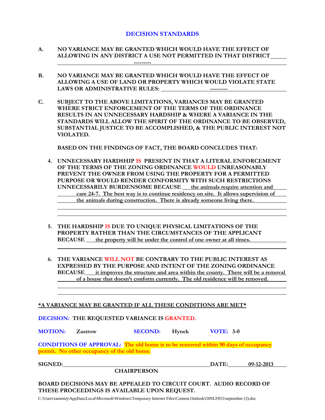### **DECISION STANDARDS**

- **A. NO VARIANCE MAY BE GRANTED WHICH WOULD HAVE THE EFFECT OF ALLOWING IN ANY DISTRICT A USE NOT PERMITTED IN THAT DISTRICT ---------**
- **B. NO VARIANCE MAY BE GRANTED WHICH WOULD HAVE THE EFFECT OF ALLOWING A USE OF LAND OR PROPERTY WHICH WOULD VIOLATE STATE**  LAWS OR ADMINISTRATIVE RULES: **-----------** ----------
- **C. SUBJECT TO THE ABOVE LIMITATIONS, VARIANCES MAY BE GRANTED WHERE STRICT ENFORCEMENT OF THE TERMS OF THE ORDINANCE RESULTS IN AN UNNECESSARY HARDSHIP & WHERE A VARIANCE IN THE STANDARDS WILL ALLOW THE SPIRIT OF THE ORDINANCE TO BE OBSERVED, SUBSTANTIAL JUSTICE TO BE ACCOMPLISHED, & THE PUBLIC INTEREST NOT VIOLATED.**

**BASED ON THE FINDINGS OF FACT, THE BOARD CONCLUDES THAT:**

- **4. UNNECESSARY HARDSHIP IS PRESENT IN THAT A LITERAL ENFORCEMENT OF THE TERMS OF THE ZONING ORDINANCE WOULD UNREASONABLY PREVENT THE OWNER FROM USING THE PROPERTY FOR A PERMITTED PURPOSE OR WOULD RENDER CONFORMITY WITH SUCH RESTRICTIONS UNNECESSARILY BURDENSOME BECAUSE the animals require attention and care 24-7. The best way is to continue residency on site. It allows supervision of the animals during construction. There is already someone living there.**
- **5. THE HARDSHIP IS DUE TO UNIQUE PHYSICAL LIMITATIONS OF THE PROPERTY RATHER THAN THE CIRCUMSTANCES OF THE APPLICANT BECAUSE the property will be under the control of one owner at all times.**
- **6. THE VARIANCE WILL NOT BE CONTRARY TO THE PUBLIC INTEREST AS EXPRESSED BY THE PURPOSE AND INTENT OF THE ZONING ORDINANCE BECAUSE it improves the structure and area within the county. There will be a removal of a house that doesn't conform currently. The old residence will be removed.**

#### **\*A VARIANCE MAY BE GRANTED IF ALL THESE CONDITIONS ARE MET\***

**DECISION: THE REQUESTED VARIANCE IS GRANTED.**

**MOTION: Zastrow SECOND: Hynek VOTE: 3-0**

**CONDITIONS OF APPROVAL: The old home is to be removed within 90 days of occupancy permit. No other occupancy of the old home.**

**SIGNED: DATE: 09-12-2013**

**CHAIRPERSON**

**BOARD DECISIONS MAY BE APPEALED TO CIRCUIT COURT. AUDIO RECORD OF THESE PROCEEDINGS IS AVAILABLE UPON REQUEST.**

C:\Users\tammiej\AppData\Local\Microsoft\Windows\Temporary Internet Files\Content.Outlook\OINLF855\september (3).doc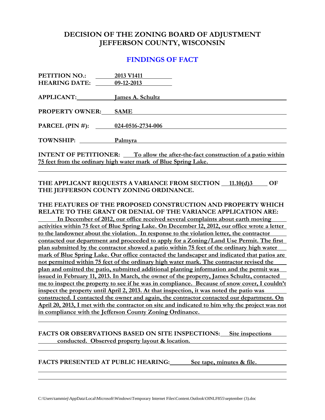## **DECISION OF THE ZONING BOARD OF ADJUSTMENT JEFFERSON COUNTY, WISCONSIN**

## **FINDINGS OF FACT**

| <b>PETITION NO.:</b>                                                                    | 2013 V1411  |  |
|-----------------------------------------------------------------------------------------|-------------|--|
| <b>HEARING DATE:</b> 09-12-2013                                                         |             |  |
|                                                                                         |             |  |
| APPLICANT: James A. Schultz                                                             |             |  |
|                                                                                         |             |  |
| <b>PROPERTY OWNER:</b>                                                                  | <b>SAME</b> |  |
|                                                                                         |             |  |
| PARCEL (PIN #): $024-0516-2734-006$                                                     |             |  |
|                                                                                         |             |  |
| TOWNSHIP:                                                                               | Palmyra     |  |
|                                                                                         |             |  |
| <b>INTENT OF PETITIONER:</b> To allow the after-the-fact construction of a patio within |             |  |
| 75 feet from the ordinary high water mark of Blue Spring Lake.                          |             |  |

### THE APPLICANT REQUESTS A VARIANCE FROM SECTION 11.10(d)3 OF **THE JEFFERSON COUNTY ZONING ORDINANCE.**

### **THE FEATURES OF THE PROPOSED CONSTRUCTION AND PROPERTY WHICH RELATE TO THE GRANT OR DENIAL OF THE VARIANCE APPLICATION ARE:**

**In December of 2012, our office received several complaints about earth moving activities within 75 feet of Blue Spring Lake. On December 12, 2012, our office wrote a letter to the landowner about the violation. In response to the violation letter, the contractor contacted our department and proceeded to apply for a Zoning/Land Use Permit. The first plan submitted by the contractor showed a patio within 75 feet of the ordinary high water mark of Blue Spring Lake. Our office contacted the landscaper and indicated that patios are not permitted within 75 feet of the ordinary high water mark. The contractor revised the plan and omitted the patio, submitted additional planting information and the permit was issued in February 11, 2013. In March, the owner of the property, James Schultz, contacted me to inspect the property to see if he was in compliance. Because of snow cover, I couldn't inspect the property until April 2, 2013. At that inspection, it was noted the patio was constructed. I contacted the owner and again, the contractor contacted our department. On April 20, 2013, I met with the contractor on site and indicated to him why the project was not in compliance with the Jefferson County Zoning Ordinance.** 

### **FACTS OR OBSERVATIONS BASED ON SITE INSPECTIONS: Site inspections conducted. Observed property layout & location.**

**FACTS PRESENTED AT PUBLIC HEARING: See tape, minutes & file.**